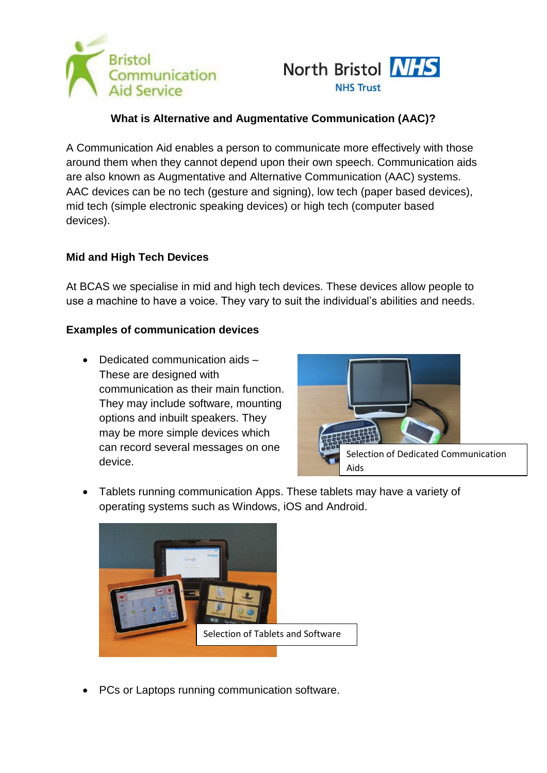



# **What is Alternative and Augmentative Communication (AAC)?**

A Communication Aid enables a person to communicate more effectively with those around them when they cannot depend upon their own speech. Communication aids are also known as Augmentative and Alternative Communication (AAC) systems. AAC devices can be no tech (gesture and signing), low tech (paper based devices), mid tech (simple electronic speaking devices) or high tech (computer based devices).

### **Mid and High Tech Devices**

At BCAS we specialise in mid and high tech devices. These devices allow people to use a machine to have a voice. They vary to suit the individual's abilities and needs.

#### **Examples of communication devices**

• Dedicated communication aids -These are designed with communication as their main function. They may include software, mounting options and inbuilt speakers. They may be more simple devices which can record several messages on one device.



 Tablets running communication Apps. These tablets may have a variety of operating systems such as Windows, iOS and Android.



• PCs or Laptops running communication software.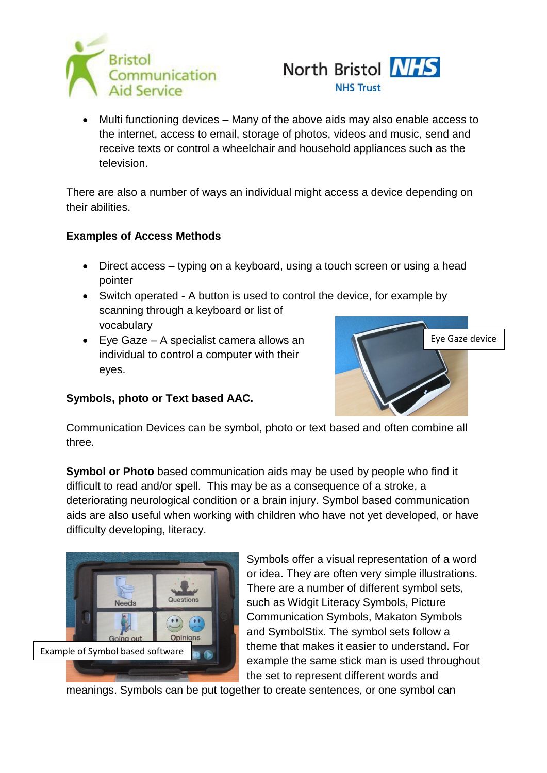



 Multi functioning devices – Many of the above aids may also enable access to the internet, access to email, storage of photos, videos and music, send and receive texts or control a wheelchair and household appliances such as the television.

There are also a number of ways an individual might access a device depending on their abilities.

## **Examples of Access Methods**

- Direct access typing on a keyboard, using a touch screen or using a head pointer
- Switch operated A button is used to control the device, for example by scanning through a keyboard or list of vocabulary
- Eye Gaze A specialist camera allows an individual to control a computer with their eyes.



## **Symbols, photo or Text based AAC.**

Communication Devices can be symbol, photo or text based and often combine all three.

**Symbol or Photo** based communication aids may be used by people who find it difficult to read and/or spell. This may be as a consequence of a stroke, a deteriorating neurological condition or a brain injury. Symbol based communication aids are also useful when working with children who have not yet developed, or have difficulty developing, literacy.



Symbols offer a visual representation of a word or idea. They are often very simple illustrations. There are a number of different symbol sets, such as Widgit Literacy Symbols, Picture Communication Symbols, Makaton Symbols and SymbolStix. The symbol sets follow a theme that makes it easier to understand. For example the same stick man is used throughout the set to represent different words and

meanings. Symbols can be put together to create sentences, or one symbol can